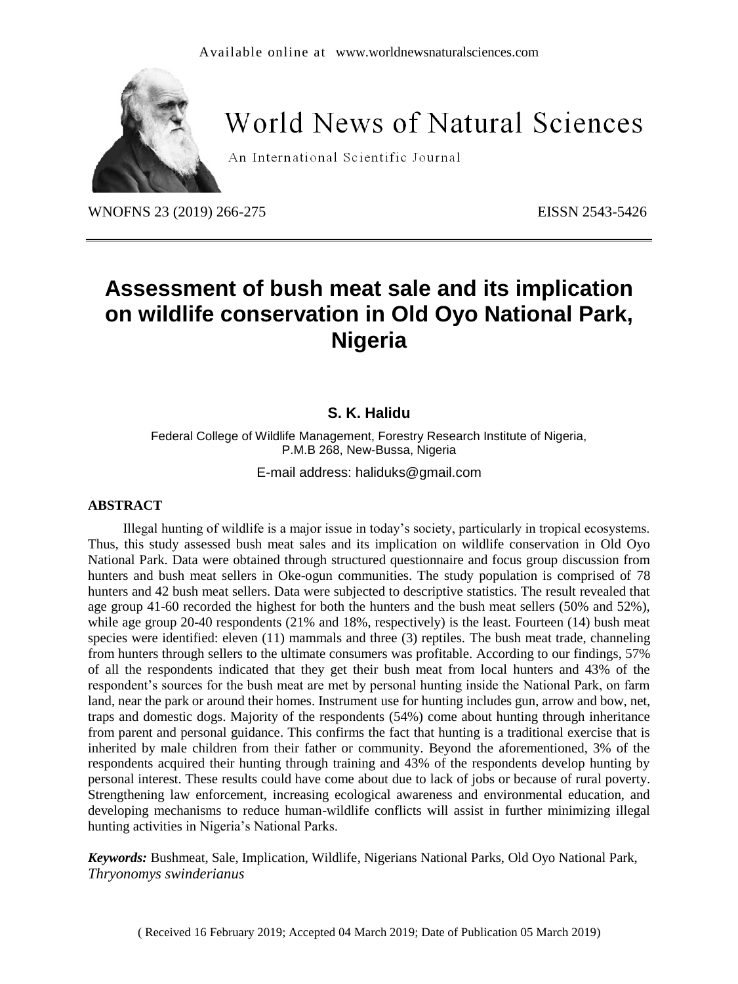

# **World News of Natural Sciences**

An International Scientific Journal

WNOFNS 23 (2019) 266-275 EISSN 2543-5426

## **Assessment of bush meat sale and its implication on wildlife conservation in Old Oyo National Park, Nigeria**

## **S. K. Halidu**

Federal College of Wildlife Management, Forestry Research Institute of Nigeria, P.M.B 268, New-Bussa, Nigeria

E-mail address: haliduks@gmail.com

#### **ABSTRACT**

Illegal hunting of wildlife is a major issue in today's society, particularly in tropical ecosystems. Thus, this study assessed bush meat sales and its implication on wildlife conservation in Old Oyo National Park. Data were obtained through structured questionnaire and focus group discussion from hunters and bush meat sellers in Oke-ogun communities. The study population is comprised of 78 hunters and 42 bush meat sellers. Data were subjected to descriptive statistics. The result revealed that age group 41-60 recorded the highest for both the hunters and the bush meat sellers (50% and 52%), while age group 20-40 respondents (21% and 18%, respectively) is the least. Fourteen (14) bush meat species were identified: eleven (11) mammals and three (3) reptiles. The bush meat trade, channeling from hunters through sellers to the ultimate consumers was profitable. According to our findings, 57% of all the respondents indicated that they get their bush meat from local hunters and 43% of the respondent's sources for the bush meat are met by personal hunting inside the National Park, on farm land, near the park or around their homes. Instrument use for hunting includes gun, arrow and bow, net, traps and domestic dogs. Majority of the respondents (54%) come about hunting through inheritance from parent and personal guidance. This confirms the fact that hunting is a traditional exercise that is inherited by male children from their father or community. Beyond the aforementioned, 3% of the respondents acquired their hunting through training and 43% of the respondents develop hunting by personal interest. These results could have come about due to lack of jobs or because of rural poverty. Strengthening law enforcement, increasing ecological awareness and environmental education, and developing mechanisms to reduce human-wildlife conflicts will assist in further minimizing illegal hunting activities in Nigeria's National Parks.

*Keywords:* Bushmeat, Sale, Implication, Wildlife, Nigerians National Parks, Old Oyo National Park, *Thryonomys swinderianus*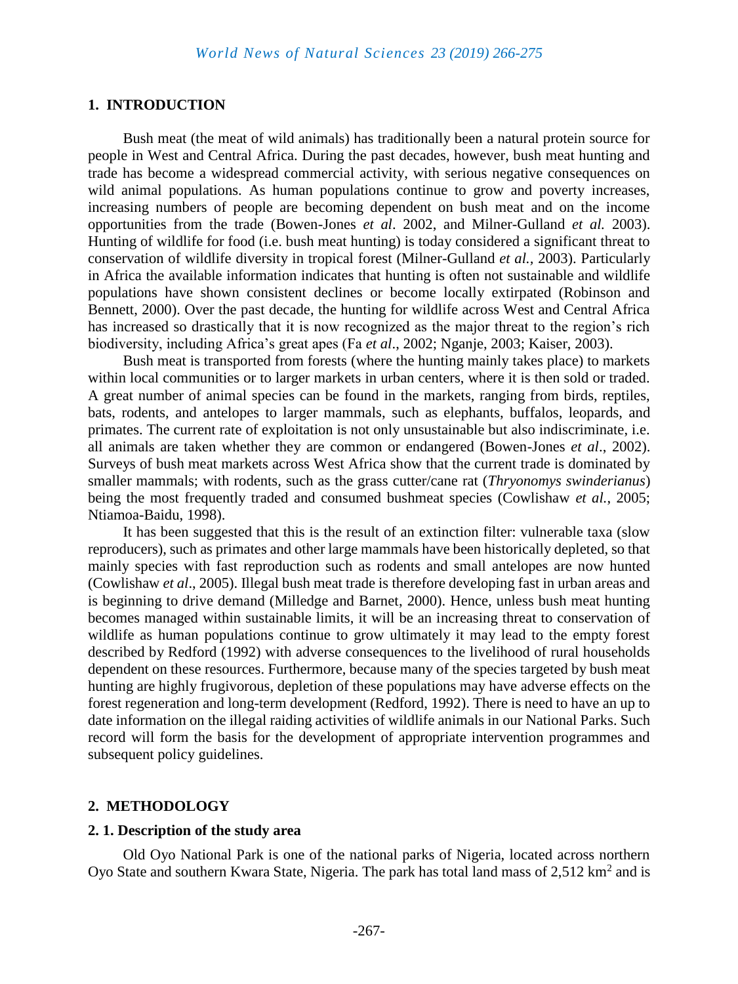### **1. INTRODUCTION**

Bush meat (the meat of wild animals) has traditionally been a natural protein source for people in West and Central Africa. During the past decades, however, bush meat hunting and trade has become a widespread commercial activity, with serious negative consequences on wild animal populations. As human populations continue to grow and poverty increases, increasing numbers of people are becoming dependent on bush meat and on the income opportunities from the trade (Bowen-Jones *et al*. 2002, and Milner-Gulland *et al.* 2003). Hunting of wildlife for food (i.e. bush meat hunting) is today considered a significant threat to conservation of wildlife diversity in tropical forest (Milner-Gulland *et al.,* 2003). Particularly in Africa the available information indicates that hunting is often not sustainable and wildlife populations have shown consistent declines or become locally extirpated (Robinson and Bennett, 2000). Over the past decade, the hunting for wildlife across West and Central Africa has increased so drastically that it is now recognized as the major threat to the region's rich biodiversity, including Africa's great apes (Fa *et al*., 2002; Nganje, 2003; Kaiser, 2003).

Bush meat is transported from forests (where the hunting mainly takes place) to markets within local communities or to larger markets in urban centers, where it is then sold or traded. A great number of animal species can be found in the markets, ranging from birds, reptiles, bats, rodents, and antelopes to larger mammals, such as elephants, buffalos, leopards, and primates. The current rate of exploitation is not only unsustainable but also indiscriminate, i.e. all animals are taken whether they are common or endangered (Bowen-Jones *et al*., 2002). Surveys of bush meat markets across West Africa show that the current trade is dominated by smaller mammals; with rodents, such as the grass cutter/cane rat (*Thryonomys swinderianus*) being the most frequently traded and consumed bushmeat species (Cowlishaw *et al.*, 2005; Ntiamoa-Baidu, 1998).

It has been suggested that this is the result of an extinction filter: vulnerable taxa (slow reproducers), such as primates and other large mammals have been historically depleted, so that mainly species with fast reproduction such as rodents and small antelopes are now hunted (Cowlishaw *et al*., 2005). Illegal bush meat trade is therefore developing fast in urban areas and is beginning to drive demand (Milledge and Barnet, 2000). Hence, unless bush meat hunting becomes managed within sustainable limits, it will be an increasing threat to conservation of wildlife as human populations continue to grow ultimately it may lead to the empty forest described by Redford (1992) with adverse consequences to the livelihood of rural households dependent on these resources. Furthermore, because many of the species targeted by bush meat hunting are highly frugivorous, depletion of these populations may have adverse effects on the forest regeneration and long-term development (Redford, 1992). There is need to have an up to date information on the illegal raiding activities of wildlife animals in our National Parks. Such record will form the basis for the development of appropriate intervention programmes and subsequent policy guidelines.

#### **2. METHODOLOGY**

#### **2. 1. Description of the study area**

Old Oyo National Park is one of the national parks of Nigeria, located across northern Oyo State and southern Kwara State, Nigeria. The park has total land mass of  $2,512 \text{ km}^2$  and is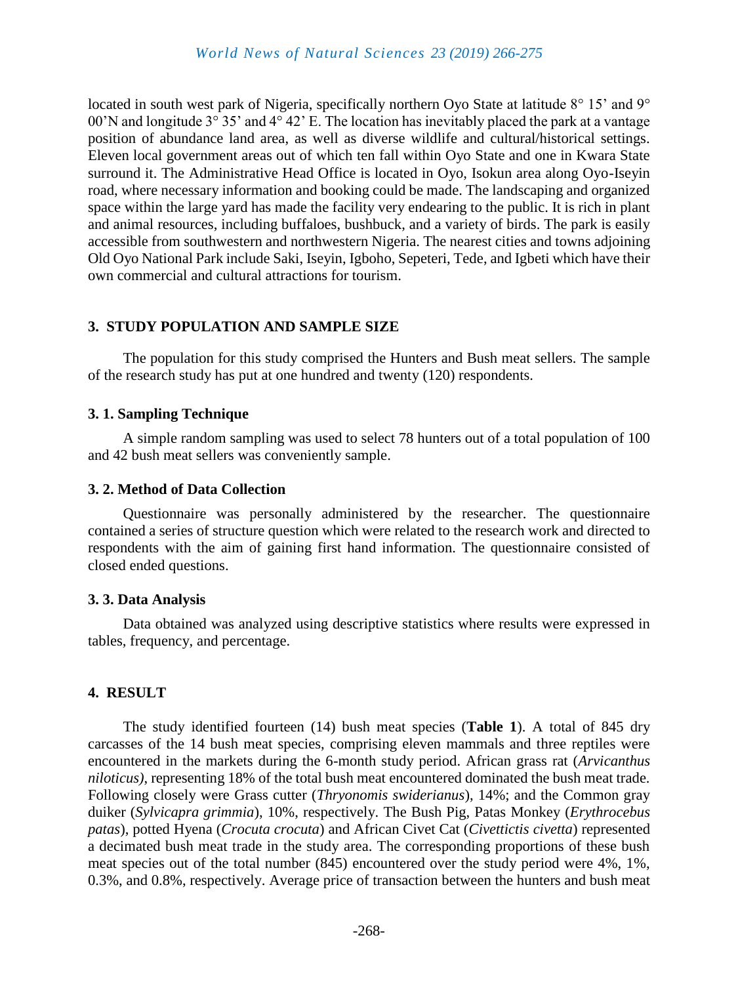located in south west park of Nigeria, specifically northern Oyo State at latitude 8° 15' and 9° 00'N and longitude 3° 35' and 4° 42' E. The location has inevitably placed the park at a vantage position of abundance land area, as well as diverse wildlife and cultural/historical settings. Eleven local government areas out of which ten fall within Oyo State and one in Kwara State surround it. The Administrative Head Office is located in Oyo, Isokun area along Oyo-Iseyin road, where necessary information and booking could be made. The landscaping and organized space within the large yard has made the facility very endearing to the public. It is rich in plant and animal resources, including buffaloes, bushbuck, and a variety of birds. The park is easily accessible from southwestern and northwestern Nigeria. The nearest cities and towns adjoining Old Oyo National Park include Saki, Iseyin, Igboho, Sepeteri, Tede, and Igbeti which have their own commercial and cultural attractions for tourism.

## **3. STUDY POPULATION AND SAMPLE SIZE**

The population for this study comprised the Hunters and Bush meat sellers. The sample of the research study has put at one hundred and twenty (120) respondents.

## **3. 1. Sampling Technique**

A simple random sampling was used to select 78 hunters out of a total population of 100 and 42 bush meat sellers was conveniently sample.

## **3. 2. Method of Data Collection**

Questionnaire was personally administered by the researcher. The questionnaire contained a series of structure question which were related to the research work and directed to respondents with the aim of gaining first hand information. The questionnaire consisted of closed ended questions.

## **3. 3. Data Analysis**

Data obtained was analyzed using descriptive statistics where results were expressed in tables, frequency, and percentage.

## **4. RESULT**

The study identified fourteen (14) bush meat species (**Table 1**). A total of 845 dry carcasses of the 14 bush meat species, comprising eleven mammals and three reptiles were encountered in the markets during the 6-month study period. African grass rat (*Arvicanthus niloticus)*, representing 18% of the total bush meat encountered dominated the bush meat trade. Following closely were Grass cutter (*Thryonomis swiderianus*), 14%; and the Common gray duiker (*Sylvicapra grimmia*), 10%, respectively. The Bush Pig, Patas Monkey (*Erythrocebus patas*), potted Hyena (*Crocuta crocuta*) and African Civet Cat (*Civettictis civetta*) represented a decimated bush meat trade in the study area. The corresponding proportions of these bush meat species out of the total number (845) encountered over the study period were 4%, 1%, 0.3%, and 0.8%, respectively. Average price of transaction between the hunters and bush meat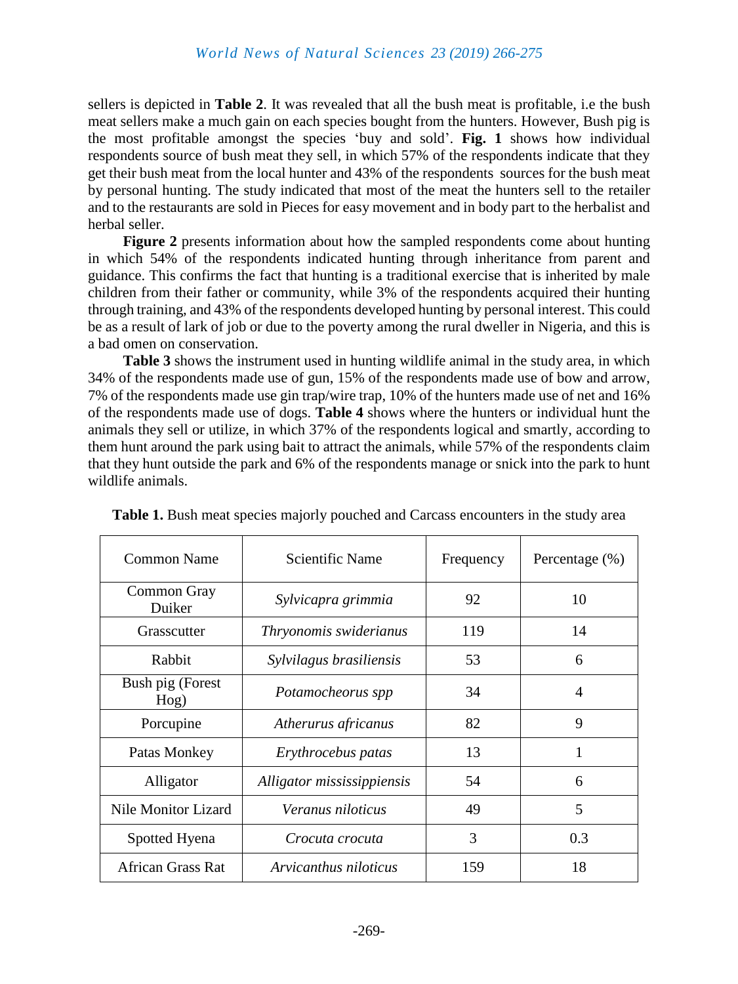sellers is depicted in **Table 2**. It was revealed that all the bush meat is profitable, i.e the bush meat sellers make a much gain on each species bought from the hunters. However, Bush pig is the most profitable amongst the species 'buy and sold'. **Fig. 1** shows how individual respondents source of bush meat they sell, in which 57% of the respondents indicate that they get their bush meat from the local hunter and 43% of the respondents sources for the bush meat by personal hunting. The study indicated that most of the meat the hunters sell to the retailer and to the restaurants are sold in Pieces for easy movement and in body part to the herbalist and herbal seller.

**Figure 2** presents information about how the sampled respondents come about hunting in which 54% of the respondents indicated hunting through inheritance from parent and guidance. This confirms the fact that hunting is a traditional exercise that is inherited by male children from their father or community, while 3% of the respondents acquired their hunting through training, and 43% of the respondents developed hunting by personal interest. This could be as a result of lark of job or due to the poverty among the rural dweller in Nigeria, and this is a bad omen on conservation.

**Table 3** shows the instrument used in hunting wildlife animal in the study area, in which 34% of the respondents made use of gun, 15% of the respondents made use of bow and arrow, 7% of the respondents made use gin trap/wire trap, 10% of the hunters made use of net and 16% of the respondents made use of dogs. **Table 4** shows where the hunters or individual hunt the animals they sell or utilize, in which 37% of the respondents logical and smartly, according to them hunt around the park using bait to attract the animals, while 57% of the respondents claim that they hunt outside the park and 6% of the respondents manage or snick into the park to hunt wildlife animals.

| <b>Common Name</b>         | <b>Scientific Name</b>     | Frequency | Percentage $(\% )$ |
|----------------------------|----------------------------|-----------|--------------------|
| Common Gray<br>Duiker      | Sylvicapra grimmia         | 92        | 10                 |
| Grasscutter                | Thryonomis swiderianus     | 119       | 14                 |
| Rabbit                     | Sylvilagus brasiliensis    | 53        | 6                  |
| Bush pig (Forest<br>Hog)   | Potamocheorus spp          | 34        | 4                  |
| Porcupine                  | Atherurus africanus        | 82        | 9                  |
| Patas Monkey               | Erythrocebus patas         | 13        | 1                  |
| Alligator                  | Alligator mississippiensis | 54        | 6                  |
| <b>Nile Monitor Lizard</b> | Veranus niloticus          | 49        | 5                  |
| Spotted Hyena              | Crocuta crocuta            | 3         | 0.3                |
| <b>African Grass Rat</b>   | Arvicanthus niloticus      | 159       | 18                 |

**Table 1.** Bush meat species majorly pouched and Carcass encounters in the study area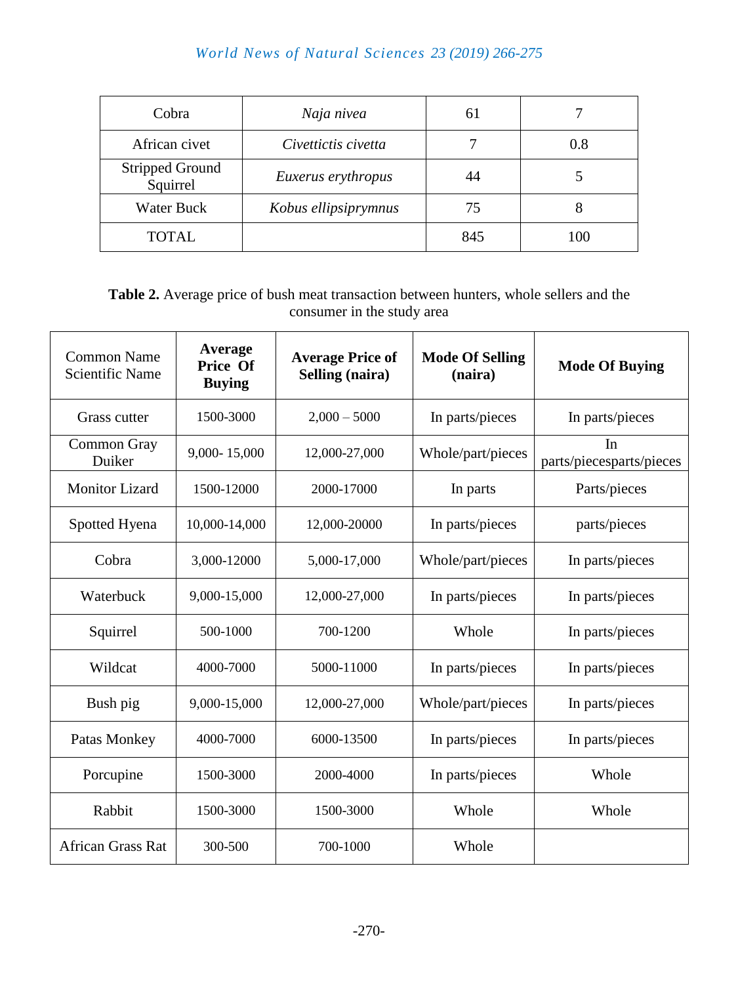## *World News of Natural Sciences 23 (2019) 266-275*

| Cobra                              | Naja nivea           | 61  |     |
|------------------------------------|----------------------|-----|-----|
| African civet                      | Civettictis civetta  |     | 0.8 |
| <b>Stripped Ground</b><br>Squirrel | Euxerus erythropus   | 44  |     |
| <b>Water Buck</b>                  | Kobus ellipsiprymnus | 75  | x   |
| <b>TOTAL</b>                       |                      | 845 | 100 |

**Table 2.** Average price of bush meat transaction between hunters, whole sellers and the consumer in the study area

| <b>Common Name</b><br><b>Scientific Name</b> | Average<br>Price Of<br><b>Buying</b> | <b>Average Price of</b><br>Selling (naira) | <b>Mode Of Selling</b><br>(naira) | <b>Mode Of Buying</b>          |
|----------------------------------------------|--------------------------------------|--------------------------------------------|-----------------------------------|--------------------------------|
| Grass cutter                                 | 1500-3000                            | $2,000 - 5000$                             | In parts/pieces                   | In parts/pieces                |
| Common Gray<br>Duiker                        | 9,000-15,000                         | 12,000-27,000                              | Whole/part/pieces                 | In<br>parts/piecesparts/pieces |
| <b>Monitor Lizard</b>                        | 1500-12000                           | 2000-17000                                 | In parts                          | Parts/pieces                   |
| Spotted Hyena                                | 10,000-14,000                        | 12,000-20000                               | In parts/pieces                   | parts/pieces                   |
| Cobra                                        | 3,000-12000                          | 5,000-17,000                               | Whole/part/pieces                 | In parts/pieces                |
| Waterbuck                                    | 9,000-15,000                         | 12,000-27,000                              | In parts/pieces                   | In parts/pieces                |
| Squirrel                                     | 500-1000                             | 700-1200                                   | Whole                             | In parts/pieces                |
| Wildcat                                      | 4000-7000                            | 5000-11000                                 | In parts/pieces                   | In parts/pieces                |
| Bush pig                                     | 9,000-15,000                         | 12,000-27,000                              | Whole/part/pieces                 | In parts/pieces                |
| Patas Monkey                                 | 4000-7000                            | 6000-13500                                 | In parts/pieces                   | In parts/pieces                |
| Porcupine                                    | 1500-3000                            | 2000-4000                                  | In parts/pieces                   | Whole                          |
| Rabbit                                       | 1500-3000                            | 1500-3000                                  | Whole                             | Whole                          |
| <b>African Grass Rat</b>                     | 300-500                              | 700-1000                                   | Whole                             |                                |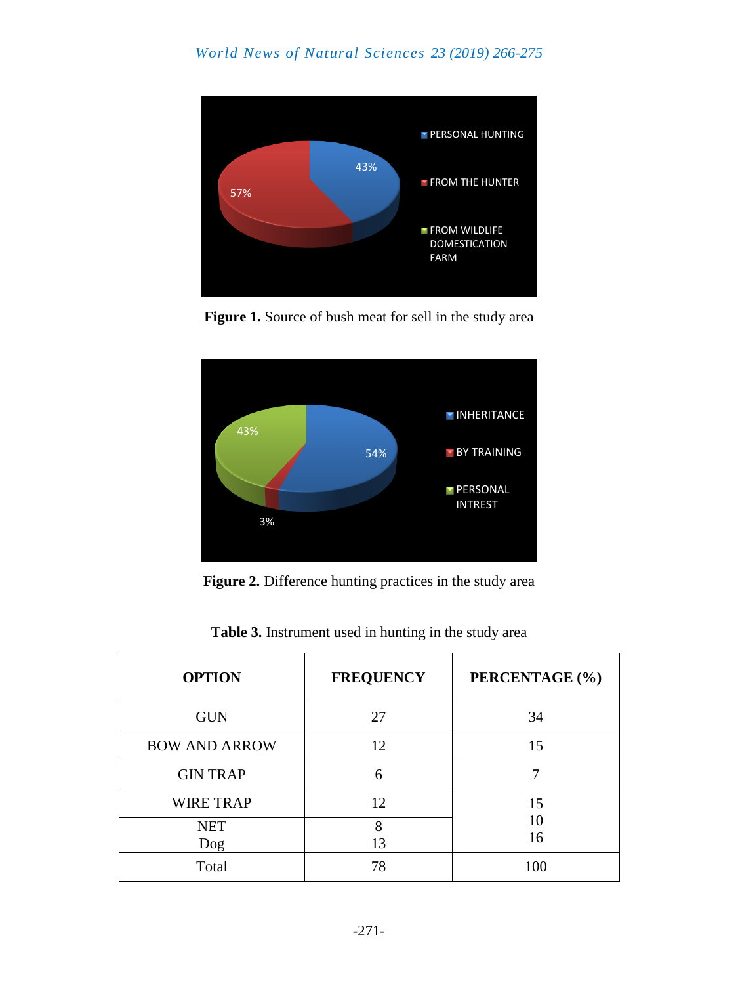

Figure 1. Source of bush meat for sell in the study area



**Figure 2.** Difference hunting practices in the study area

| <b>OPTION</b>        | <b>FREQUENCY</b> | PERCENTAGE (%) |  |
|----------------------|------------------|----------------|--|
| <b>GUN</b>           | 27               | 34             |  |
| <b>BOW AND ARROW</b> | 12               | 15             |  |
| <b>GIN TRAP</b>      | 6                |                |  |
| <b>WIRE TRAP</b>     | 12               | 15             |  |
| <b>NET</b><br>Dog    | 8<br>13          | 10<br>16       |  |
| Total                | 78               | 100            |  |

**Table 3.** Instrument used in hunting in the study area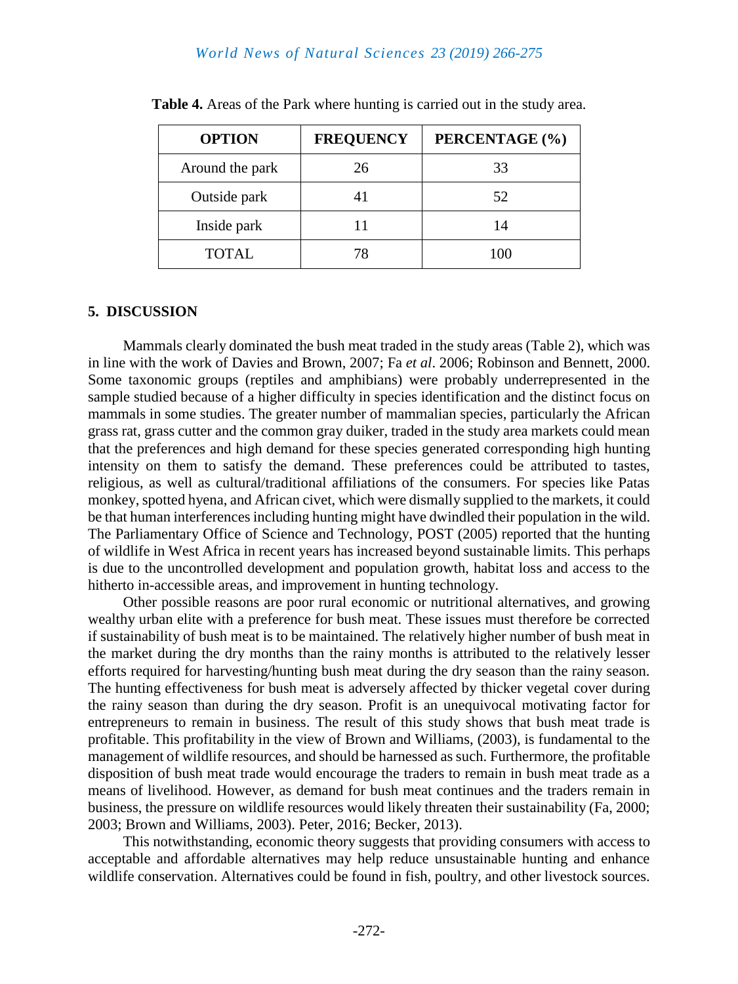### *World News of Natural Sciences 23 (2019) 266-275*

| <b>OPTION</b>   | <b>FREQUENCY</b> | PERCENTAGE (%) |
|-----------------|------------------|----------------|
| Around the park | 26               | 33             |
| Outside park    |                  | 52             |
| Inside park     |                  | 14             |
| <b>TOTAL</b>    | 78               | 100            |

**Table 4.** Areas of the Park where hunting is carried out in the study area.

#### **5. DISCUSSION**

Mammals clearly dominated the bush meat traded in the study areas (Table 2), which was in line with the work of Davies and Brown, 2007; Fa *et al*. 2006; Robinson and Bennett, 2000. Some taxonomic groups (reptiles and amphibians) were probably underrepresented in the sample studied because of a higher difficulty in species identification and the distinct focus on mammals in some studies. The greater number of mammalian species, particularly the African grass rat, grass cutter and the common gray duiker, traded in the study area markets could mean that the preferences and high demand for these species generated corresponding high hunting intensity on them to satisfy the demand. These preferences could be attributed to tastes, religious, as well as cultural/traditional affiliations of the consumers. For species like Patas monkey, spotted hyena, and African civet, which were dismally supplied to the markets, it could be that human interferences including hunting might have dwindled their population in the wild. The Parliamentary Office of Science and Technology, POST (2005) reported that the hunting of wildlife in West Africa in recent years has increased beyond sustainable limits. This perhaps is due to the uncontrolled development and population growth, habitat loss and access to the hitherto in-accessible areas, and improvement in hunting technology.

Other possible reasons are poor rural economic or nutritional alternatives, and growing wealthy urban elite with a preference for bush meat. These issues must therefore be corrected if sustainability of bush meat is to be maintained. The relatively higher number of bush meat in the market during the dry months than the rainy months is attributed to the relatively lesser efforts required for harvesting/hunting bush meat during the dry season than the rainy season. The hunting effectiveness for bush meat is adversely affected by thicker vegetal cover during the rainy season than during the dry season. Profit is an unequivocal motivating factor for entrepreneurs to remain in business. The result of this study shows that bush meat trade is profitable. This profitability in the view of Brown and Williams, (2003), is fundamental to the management of wildlife resources, and should be harnessed as such. Furthermore, the profitable disposition of bush meat trade would encourage the traders to remain in bush meat trade as a means of livelihood. However, as demand for bush meat continues and the traders remain in business, the pressure on wildlife resources would likely threaten their sustainability (Fa, 2000; 2003; Brown and Williams, 2003). Peter, 2016; Becker, 2013).

This notwithstanding, economic theory suggests that providing consumers with access to acceptable and affordable alternatives may help reduce unsustainable hunting and enhance wildlife conservation. Alternatives could be found in fish, poultry, and other livestock sources.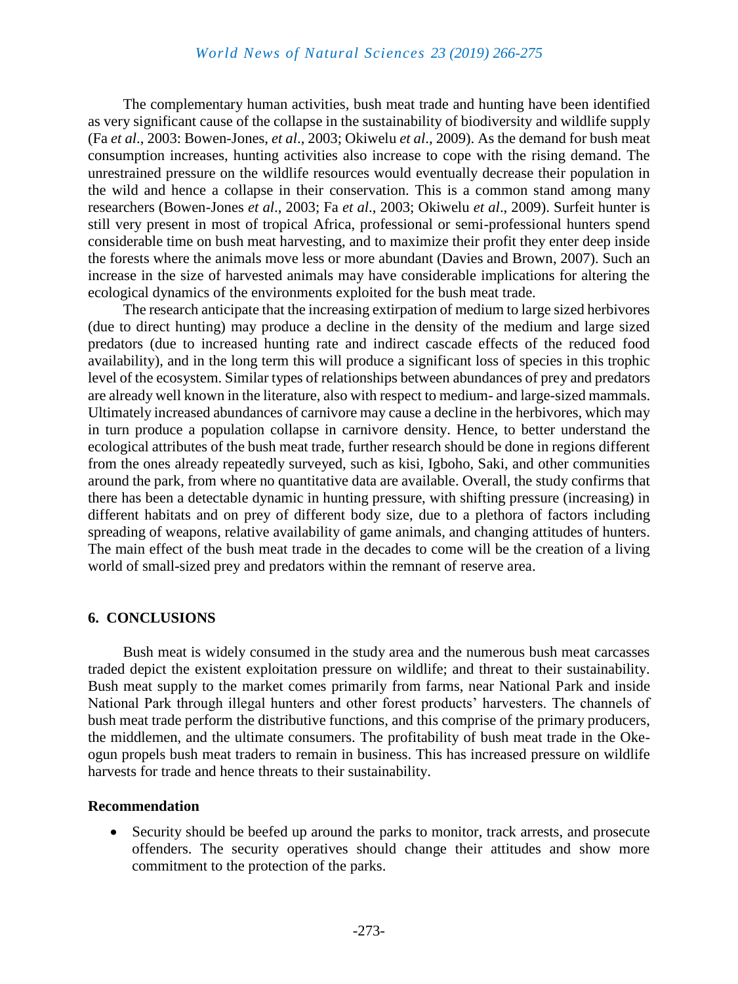The complementary human activities, bush meat trade and hunting have been identified as very significant cause of the collapse in the sustainability of biodiversity and wildlife supply (Fa *et al*., 2003: Bowen-Jones, *et al*., 2003; Okiwelu *et al*., 2009). As the demand for bush meat consumption increases, hunting activities also increase to cope with the rising demand. The unrestrained pressure on the wildlife resources would eventually decrease their population in the wild and hence a collapse in their conservation. This is a common stand among many researchers (Bowen-Jones *et al*., 2003; Fa *et al*., 2003; Okiwelu *et al*., 2009). Surfeit hunter is still very present in most of tropical Africa, professional or semi-professional hunters spend considerable time on bush meat harvesting, and to maximize their profit they enter deep inside the forests where the animals move less or more abundant (Davies and Brown, 2007). Such an increase in the size of harvested animals may have considerable implications for altering the ecological dynamics of the environments exploited for the bush meat trade.

The research anticipate that the increasing extirpation of medium to large sized herbivores (due to direct hunting) may produce a decline in the density of the medium and large sized predators (due to increased hunting rate and indirect cascade effects of the reduced food availability), and in the long term this will produce a significant loss of species in this trophic level of the ecosystem. Similar types of relationships between abundances of prey and predators are already well known in the literature, also with respect to medium- and large-sized mammals. Ultimately increased abundances of carnivore may cause a decline in the herbivores, which may in turn produce a population collapse in carnivore density. Hence, to better understand the ecological attributes of the bush meat trade, further research should be done in regions different from the ones already repeatedly surveyed, such as kisi, Igboho, Saki, and other communities around the park, from where no quantitative data are available. Overall, the study confirms that there has been a detectable dynamic in hunting pressure, with shifting pressure (increasing) in different habitats and on prey of different body size, due to a plethora of factors including spreading of weapons, relative availability of game animals, and changing attitudes of hunters. The main effect of the bush meat trade in the decades to come will be the creation of a living world of small-sized prey and predators within the remnant of reserve area.

#### **6. CONCLUSIONS**

Bush meat is widely consumed in the study area and the numerous bush meat carcasses traded depict the existent exploitation pressure on wildlife; and threat to their sustainability. Bush meat supply to the market comes primarily from farms, near National Park and inside National Park through illegal hunters and other forest products' harvesters. The channels of bush meat trade perform the distributive functions, and this comprise of the primary producers, the middlemen, and the ultimate consumers. The profitability of bush meat trade in the Okeogun propels bush meat traders to remain in business. This has increased pressure on wildlife harvests for trade and hence threats to their sustainability.

#### **Recommendation**

 Security should be beefed up around the parks to monitor, track arrests, and prosecute offenders. The security operatives should change their attitudes and show more commitment to the protection of the parks.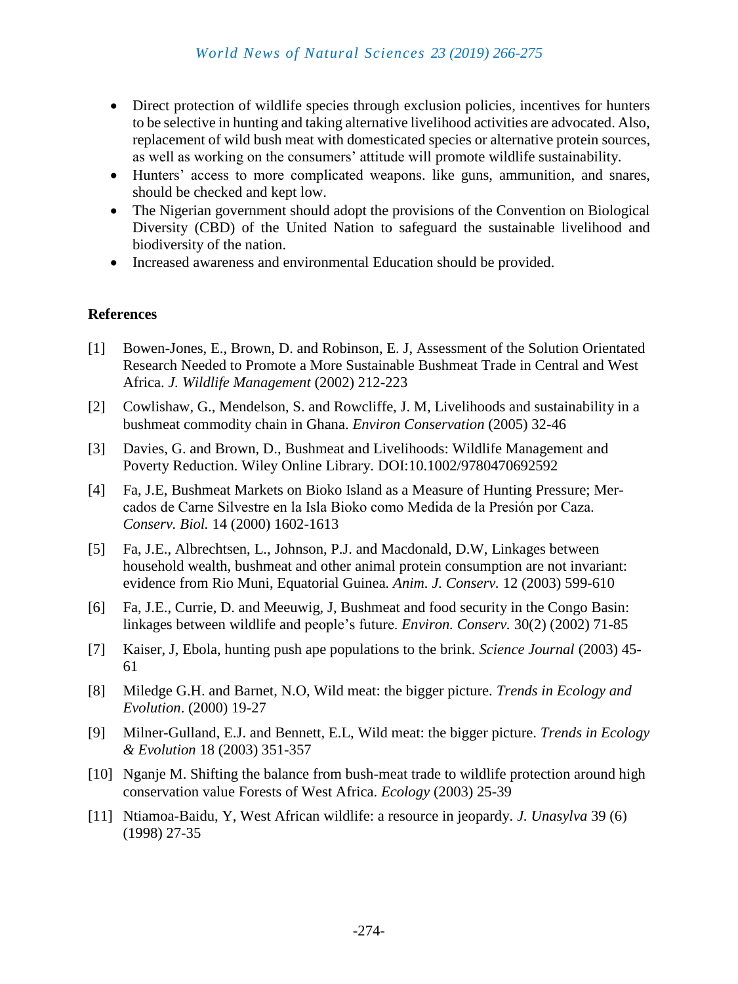- Direct protection of wildlife species through exclusion policies, incentives for hunters to be selective in hunting and taking alternative livelihood activities are advocated. Also, replacement of wild bush meat with domesticated species or alternative protein sources, as well as working on the consumers' attitude will promote wildlife sustainability.
- Hunters' access to more complicated weapons. like guns, ammunition, and snares, should be checked and kept low.
- The Nigerian government should adopt the provisions of the Convention on Biological Diversity (CBD) of the United Nation to safeguard the sustainable livelihood and biodiversity of the nation.
- Increased awareness and environmental Education should be provided.

## **References**

- [1] Bowen-Jones, E., Brown, D. and Robinson, E. J, Assessment of the Solution Orientated Research Needed to Promote a More Sustainable Bushmeat Trade in Central and West Africa. *J. Wildlife Management* (2002) 212-223
- [2] Cowlishaw, G., Mendelson, S. and Rowcliffe, J. M, Livelihoods and sustainability in a bushmeat commodity chain in Ghana. *Environ Conservation* (2005) 32-46
- [3] Davies, G. and Brown, D., Bushmeat and Livelihoods: Wildlife Management and Poverty Reduction. Wiley Online Library. DOI:10.1002/9780470692592
- [4] Fa, J.E, Bushmeat Markets on Bioko Island as a Measure of Hunting Pressure; Mercados de Carne Silvestre en la Isla Bioko como Medida de la Presión por Caza. *Conserv. Biol.* 14 (2000) 1602-1613
- [5] Fa, J.E., Albrechtsen, L., Johnson, P.J. and Macdonald, D.W, Linkages between household wealth, bushmeat and other animal protein consumption are not invariant: evidence from Rio Muni, Equatorial Guinea. *Anim. J. Conserv.* 12 (2003) 599-610
- [6] Fa, J.E., Currie, D. and Meeuwig, J, Bushmeat and food security in the Congo Basin: linkages between wildlife and people's future. *Environ. Conserv.* 30(2) (2002) 71-85
- [7] Kaiser, J, Ebola, hunting push ape populations to the brink. *Science Journal* (2003) 45- 61
- [8] Miledge G.H. and Barnet, N.O, Wild meat: the bigger picture. *Trends in Ecology and Evolution*. (2000) 19-27
- [9] Milner-Gulland, E.J. and Bennett, E.L, Wild meat: the bigger picture. *Trends in Ecology & Evolution* 18 (2003) 351-357
- [10] Nganje M. Shifting the balance from bush-meat trade to wildlife protection around high conservation value Forests of West Africa. *Ecology* (2003) 25-39
- [11] Ntiamoa-Baidu, Y, West African wildlife: a resource in jeopardy. *J. Unasylva* 39 (6) (1998) 27-35